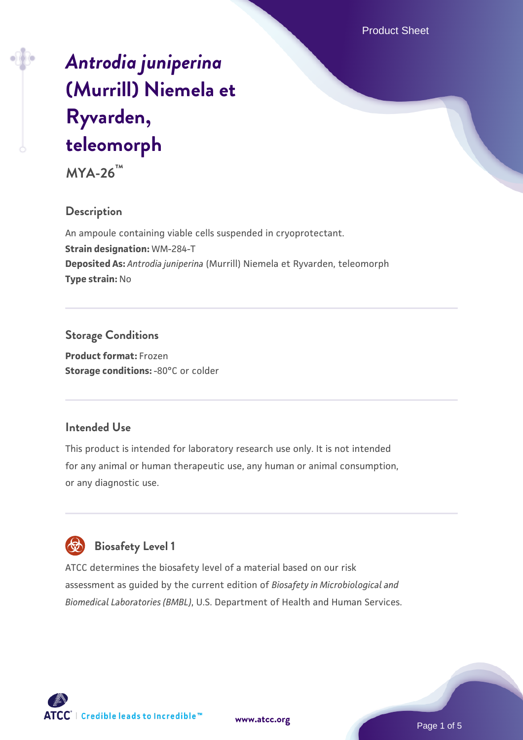# *[Antrodia juniperina](https://www.atcc.org/products/mya-26)* **[\(Murrill\) Niemela et](https://www.atcc.org/products/mya-26) [Ryvarden,](https://www.atcc.org/products/mya-26) [teleomorph](https://www.atcc.org/products/mya-26)**

**MYA-26™**

#### **Description**

An ampoule containing viable cells suspended in cryoprotectant. **Strain designation:** WM-284-T **Deposited As:** *Antrodia juniperina* (Murrill) Niemela et Ryvarden, teleomorph **Type strain:** No

### **Storage Conditions**

**Product format:** Frozen **Storage conditions: -80°C or colder** 

#### **Intended Use**

This product is intended for laboratory research use only. It is not intended for any animal or human therapeutic use, any human or animal consumption, or any diagnostic use.

# **Biosafety Level 1**

ATCC determines the biosafety level of a material based on our risk assessment as guided by the current edition of *Biosafety in Microbiological and Biomedical Laboratories (BMBL)*, U.S. Department of Health and Human Services.

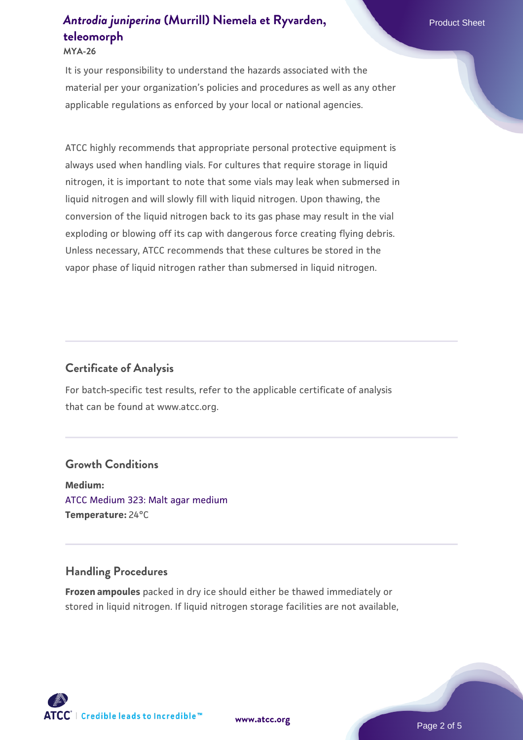#### **MYA-26**

It is your responsibility to understand the hazards associated with the material per your organization's policies and procedures as well as any other applicable regulations as enforced by your local or national agencies.

ATCC highly recommends that appropriate personal protective equipment is always used when handling vials. For cultures that require storage in liquid nitrogen, it is important to note that some vials may leak when submersed in liquid nitrogen and will slowly fill with liquid nitrogen. Upon thawing, the conversion of the liquid nitrogen back to its gas phase may result in the vial exploding or blowing off its cap with dangerous force creating flying debris. Unless necessary, ATCC recommends that these cultures be stored in the vapor phase of liquid nitrogen rather than submersed in liquid nitrogen.

#### **Certificate of Analysis**

For batch-specific test results, refer to the applicable certificate of analysis that can be found at www.atcc.org.

#### **Growth Conditions**

**Medium:**  [ATCC Medium 323: Malt agar medium](https://www.atcc.org/-/media/product-assets/documents/microbial-media-formulations/3/2/3/atcc-medium-323.pdf?rev=58d6457ee20149d7a1c844947569ef92) **Temperature:** 24°C

#### **Handling Procedures**

**Frozen ampoules** packed in dry ice should either be thawed immediately or stored in liquid nitrogen. If liquid nitrogen storage facilities are not available,

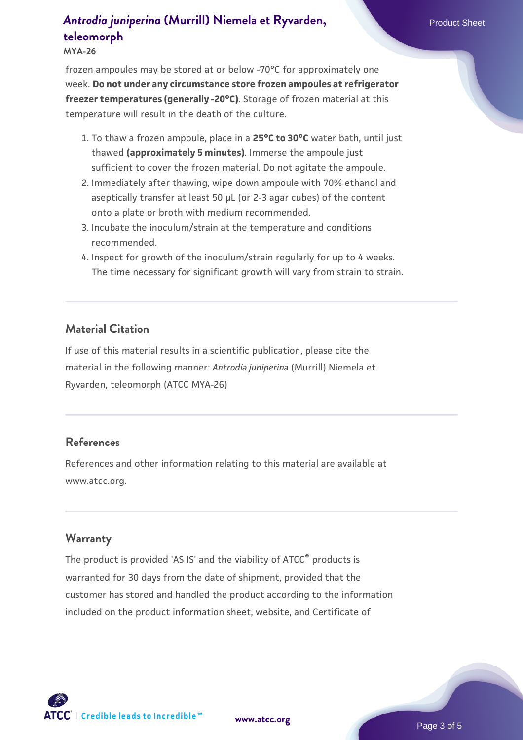#### **MYA-26**

frozen ampoules may be stored at or below -70°C for approximately one week. **Do not under any circumstance store frozen ampoules at refrigerator freezer temperatures (generally -20°C)**. Storage of frozen material at this temperature will result in the death of the culture.

- 1. To thaw a frozen ampoule, place in a **25°C to 30°C** water bath, until just thawed **(approximately 5 minutes)**. Immerse the ampoule just sufficient to cover the frozen material. Do not agitate the ampoule.
- 2. Immediately after thawing, wipe down ampoule with 70% ethanol and aseptically transfer at least 50 µL (or 2-3 agar cubes) of the content onto a plate or broth with medium recommended.
- 3. Incubate the inoculum/strain at the temperature and conditions recommended.
- 4. Inspect for growth of the inoculum/strain regularly for up to 4 weeks. The time necessary for significant growth will vary from strain to strain.

#### **Material Citation**

If use of this material results in a scientific publication, please cite the material in the following manner: *Antrodia juniperina* (Murrill) Niemela et Ryvarden, teleomorph (ATCC MYA-26)

#### **References**

References and other information relating to this material are available at www.atcc.org.

#### **Warranty**

The product is provided 'AS IS' and the viability of ATCC<sup>®</sup> products is warranted for 30 days from the date of shipment, provided that the customer has stored and handled the product according to the information included on the product information sheet, website, and Certificate of

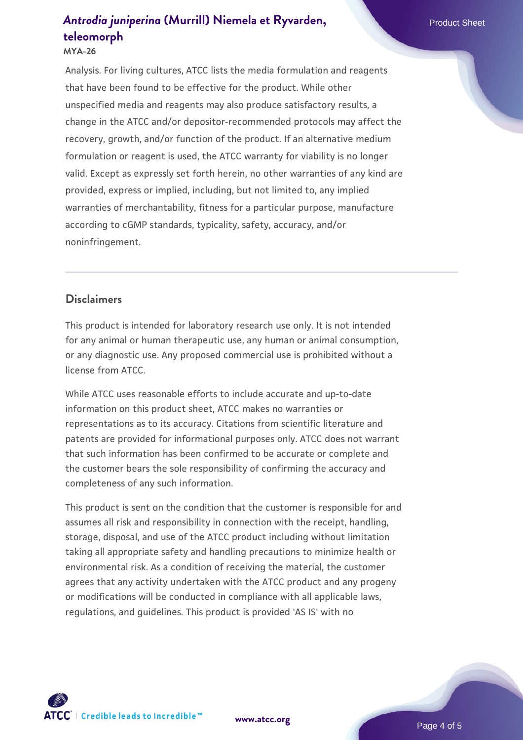#### **MYA-26**

Analysis. For living cultures, ATCC lists the media formulation and reagents that have been found to be effective for the product. While other unspecified media and reagents may also produce satisfactory results, a change in the ATCC and/or depositor-recommended protocols may affect the recovery, growth, and/or function of the product. If an alternative medium formulation or reagent is used, the ATCC warranty for viability is no longer valid. Except as expressly set forth herein, no other warranties of any kind are provided, express or implied, including, but not limited to, any implied warranties of merchantability, fitness for a particular purpose, manufacture according to cGMP standards, typicality, safety, accuracy, and/or noninfringement.

#### **Disclaimers**

This product is intended for laboratory research use only. It is not intended for any animal or human therapeutic use, any human or animal consumption, or any diagnostic use. Any proposed commercial use is prohibited without a license from ATCC.

While ATCC uses reasonable efforts to include accurate and up-to-date information on this product sheet, ATCC makes no warranties or representations as to its accuracy. Citations from scientific literature and patents are provided for informational purposes only. ATCC does not warrant that such information has been confirmed to be accurate or complete and the customer bears the sole responsibility of confirming the accuracy and completeness of any such information.

This product is sent on the condition that the customer is responsible for and assumes all risk and responsibility in connection with the receipt, handling, storage, disposal, and use of the ATCC product including without limitation taking all appropriate safety and handling precautions to minimize health or environmental risk. As a condition of receiving the material, the customer agrees that any activity undertaken with the ATCC product and any progeny or modifications will be conducted in compliance with all applicable laws, regulations, and guidelines. This product is provided 'AS IS' with no